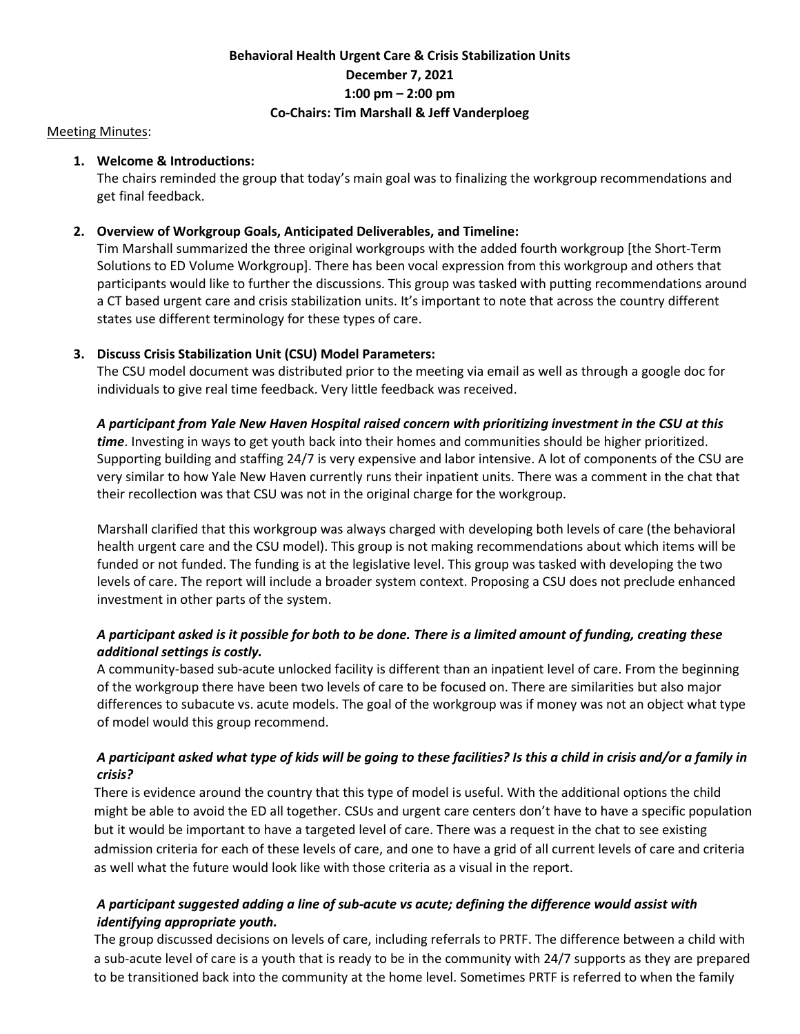# **Behavioral Health Urgent Care & Crisis Stabilization Units December 7, 2021 1:00 pm – 2:00 pm Co-Chairs: Tim Marshall & Jeff Vanderploeg**

#### Meeting Minutes:

### **1. Welcome & Introductions:**

The chairs reminded the group that today's main goal was to finalizing the workgroup recommendations and get final feedback.

### **2. Overview of Workgroup Goals, Anticipated Deliverables, and Timeline:**

Tim Marshall summarized the three original workgroups with the added fourth workgroup [the Short-Term Solutions to ED Volume Workgroup]. There has been vocal expression from this workgroup and others that participants would like to further the discussions. This group was tasked with putting recommendations around a CT based urgent care and crisis stabilization units. It's important to note that across the country different states use different terminology for these types of care.

### **3. Discuss Crisis Stabilization Unit (CSU) Model Parameters:**

The CSU model document was distributed prior to the meeting via email as well as through a google doc for individuals to give real time feedback. Very little feedback was received.

### *A participant from Yale New Haven Hospital raised concern with prioritizing investment in the CSU at this*

*time*. Investing in ways to get youth back into their homes and communities should be higher prioritized. Supporting building and staffing 24/7 is very expensive and labor intensive. A lot of components of the CSU are very similar to how Yale New Haven currently runs their inpatient units. There was a comment in the chat that their recollection was that CSU was not in the original charge for the workgroup.

Marshall clarified that this workgroup was always charged with developing both levels of care (the behavioral health urgent care and the CSU model). This group is not making recommendations about which items will be funded or not funded. The funding is at the legislative level. This group was tasked with developing the two levels of care. The report will include a broader system context. Proposing a CSU does not preclude enhanced investment in other parts of the system.

## *A participant asked is it possible for both to be done. There is a limited amount of funding, creating these additional settings is costly.*

A community-based sub-acute unlocked facility is different than an inpatient level of care. From the beginning of the workgroup there have been two levels of care to be focused on. There are similarities but also major differences to subacute vs. acute models. The goal of the workgroup was if money was not an object what type of model would this group recommend.

## *A participant asked what type of kids will be going to these facilities? Is this a child in crisis and/or a family in crisis?*

There is evidence around the country that this type of model is useful. With the additional options the child might be able to avoid the ED all together. CSUs and urgent care centers don't have to have a specific population but it would be important to have a targeted level of care. There was a request in the chat to see existing admission criteria for each of these levels of care, and one to have a grid of all current levels of care and criteria as well what the future would look like with those criteria as a visual in the report.

## *A participant suggested adding a line of sub-acute vs acute; defining the difference would assist with identifying appropriate youth.*

The group discussed decisions on levels of care, including referrals to PRTF. The difference between a child with a sub-acute level of care is a youth that is ready to be in the community with 24/7 supports as they are prepared to be transitioned back into the community at the home level. Sometimes PRTF is referred to when the family